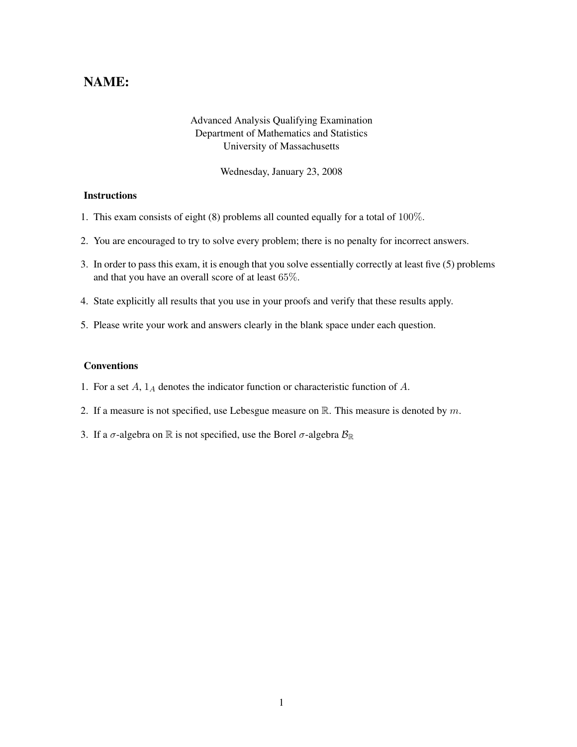## NAME:

## Advanced Analysis Qualifying Examination Department of Mathematics and Statistics University of Massachusetts

Wednesday, January 23, 2008

## **Instructions**

- 1. This exam consists of eight (8) problems all counted equally for a total of 100%.
- 2. You are encouraged to try to solve every problem; there is no penalty for incorrect answers.
- 3. In order to pass this exam, it is enough that you solve essentially correctly at least five (5) problems and that you have an overall score of at least 65%.
- 4. State explicitly all results that you use in your proofs and verify that these results apply.
- 5. Please write your work and answers clearly in the blank space under each question.

## Conventions

- 1. For a set  $A$ ,  $1_A$  denotes the indicator function or characteristic function of  $A$ .
- 2. If a measure is not specified, use Lebesgue measure on  $\mathbb{R}$ . This measure is denoted by m.
- 3. If a  $\sigma$ -algebra on  $\mathbb R$  is not specified, use the Borel  $\sigma$ -algebra  $\mathcal{B}_{\mathbb R}$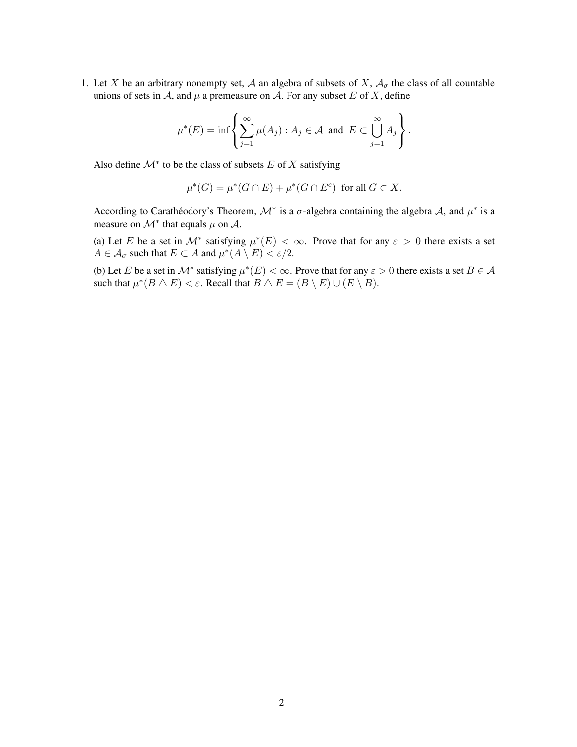1. Let X be an arbitrary nonempty set, A an algebra of subsets of X,  $A_{\sigma}$  the class of all countable unions of sets in A, and  $\mu$  a premeasure on A. For any subset E of X, define

$$
\mu^*(E) = \inf \left\{ \sum_{j=1}^{\infty} \mu(A_j) : A_j \in \mathcal{A} \text{ and } E \subset \bigcup_{j=1}^{\infty} A_j \right\}.
$$

Also define  $\mathcal{M}^*$  to be the class of subsets E of X satisfying

 $\mu^*(G) = \mu^*(G \cap E) + \mu^*(G \cap E^c)$  for all  $G \subset X$ .

According to Carathéodory's Theorem,  $\mathcal{M}^*$  is a  $\sigma$ -algebra containing the algebra  $\mathcal{A}$ , and  $\mu^*$  is a measure on  $\mathcal{M}^*$  that equals  $\mu$  on  $\mathcal{A}$ .

(a) Let E be a set in  $\mathcal{M}^*$  satisfying  $\mu^*(E) < \infty$ . Prove that for any  $\varepsilon > 0$  there exists a set  $A \in \mathcal{A}_{\sigma}$  such that  $E \subset A$  and  $\mu^*(A \setminus E) < \varepsilon/2$ .

(b) Let E be a set in  $\mathcal{M}^*$  satisfying  $\mu^*(E) < \infty$ . Prove that for any  $\varepsilon > 0$  there exists a set  $B \in \mathcal{A}$ such that  $\mu^*(B \triangle E) < \varepsilon$ . Recall that  $B \triangle E = (B \setminus E) \cup (E \setminus B)$ .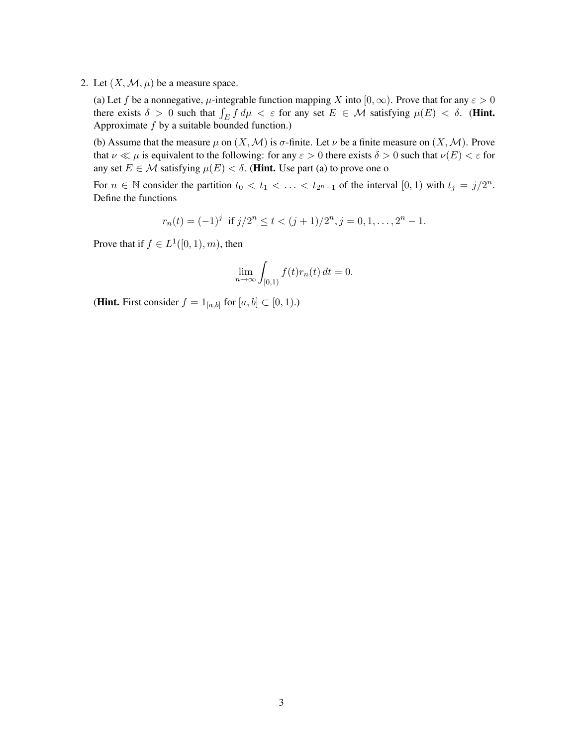2. Let  $(X, \mathcal{M}, \mu)$  be a measure space.

(a) Let f be a nonnegative,  $\mu$ -integrable function mapping X into  $[0, \infty)$ . Prove that for any  $\varepsilon > 0$ there exists  $\delta > 0$  such that  $\int_E f d\mu < \varepsilon$  for any set  $E \in \mathcal{M}$  satisfying  $\mu(E) < \delta$ . (Hint. Approximate  $f$  by a suitable bounded function.)

(b) Assume that the measure  $\mu$  on  $(X, \mathcal{M})$  is  $\sigma$ -finite. Let  $\nu$  be a finite measure on  $(X, \mathcal{M})$ . Prove that  $\nu \ll \mu$  is equivalent to the following: for any  $\varepsilon > 0$  there exists  $\delta > 0$  such that  $\nu(E) < \varepsilon$  for any set  $E \in \mathcal{M}$  satisfying  $\mu(E) < \delta$ . (Hint. Use part (a) to prove one o

For  $n \in \mathbb{N}$  consider the partition  $t_0 < t_1 < \ldots < t_{2^{n-1}}$  of the interval  $[0,1)$  with  $t_j = j/2^n$ . Define the functions

$$
r_n(t) = (-1)^j \text{ if } j/2^n \le t < (j+1)/2^n, j = 0, 1, \dots, 2^n - 1.
$$

Prove that if  $f \in L^1([0,1),m)$ , then

$$
\lim_{n \to \infty} \int_{[0,1)} f(t) r_n(t) dt = 0.
$$

(**Hint.** First consider  $f = 1_{[a,b]}$  for  $[a, b] \subset [0, 1)$ .)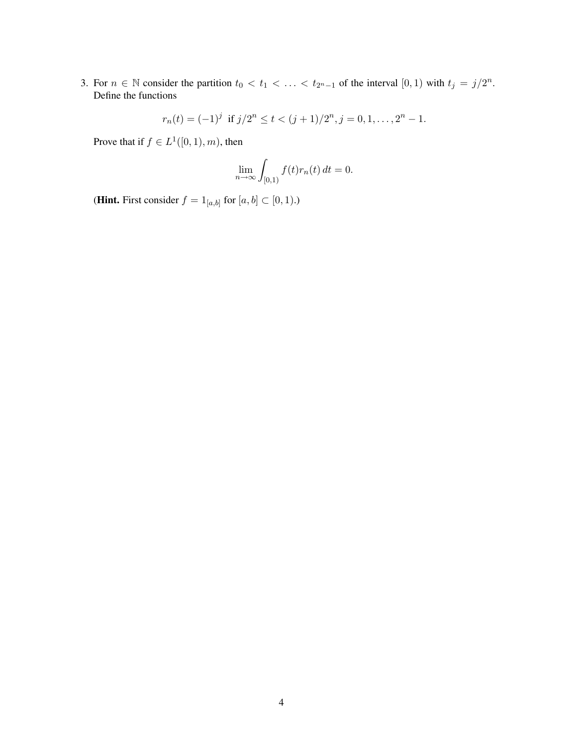3. For  $n \in \mathbb{N}$  consider the partition  $t_0 < t_1 < \ldots < t_{2^n-1}$  of the interval  $[0,1)$  with  $t_j = j/2^n$ . Define the functions

$$
r_n(t) = (-1)^j
$$
 if  $j/2^n \le t < (j+1)/2^n$ ,  $j = 0, 1, ..., 2^n - 1$ .

Prove that if  $f \in L^1([0,1),m)$ , then

$$
\lim_{n \to \infty} \int_{[0,1)} f(t)r_n(t) dt = 0.
$$

(**Hint.** First consider  $f = 1_{[a,b]}$  for  $[a, b] \subset [0, 1)$ .)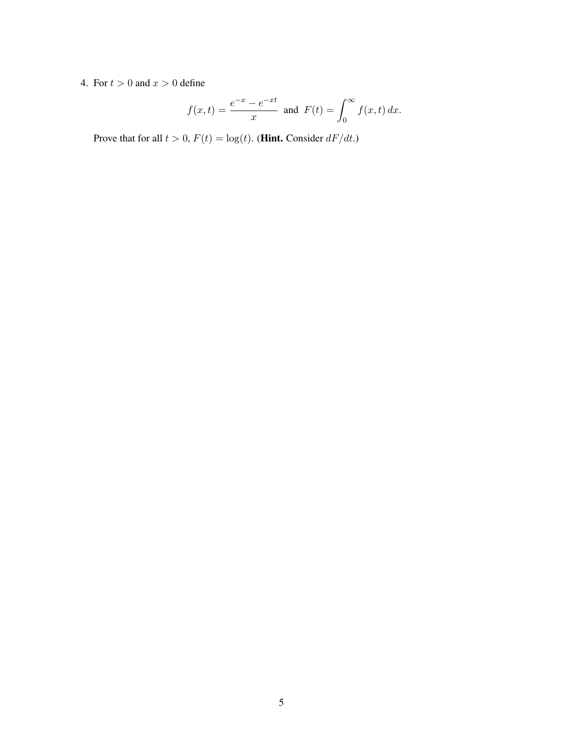4. For  $t > 0$  and  $x > 0$  define

$$
f(x,t) = \frac{e^{-x} - e^{-xt}}{x}
$$
 and  $F(t) = \int_0^\infty f(x,t) dx$ .

Prove that for all  $t > 0$ ,  $F(t) = \log(t)$ . (**Hint.** Consider  $dF/dt$ .)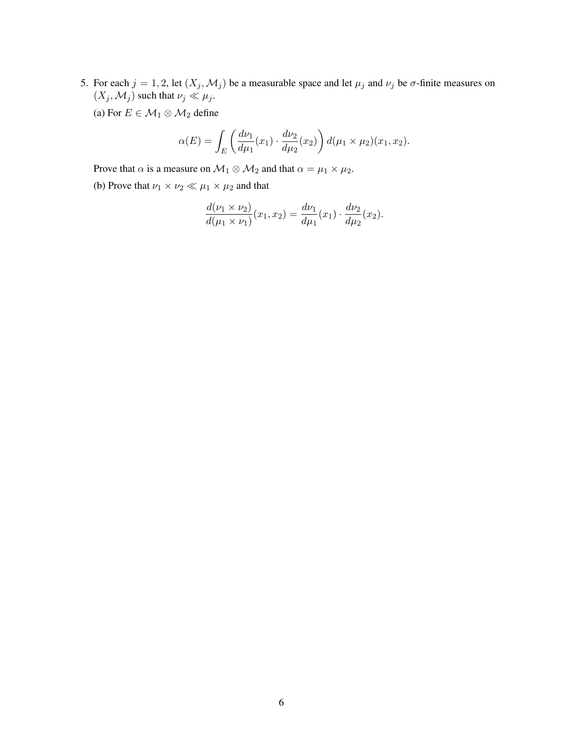5. For each  $j = 1, 2$ , let  $(X_j, \mathcal{M}_j)$  be a measurable space and let  $\mu_j$  and  $\nu_j$  be  $\sigma$ -finite measures on  $(X_j, \mathcal{M}_j)$  such that  $\nu_j \ll \mu_j$ .

(a) For  $E \in \mathcal{M}_1 \otimes \mathcal{M}_2$  define

$$
\alpha(E) = \int_{E} \left( \frac{d\nu_1}{d\mu_1}(x_1) \cdot \frac{d\nu_2}{d\mu_2}(x_2) \right) d(\mu_1 \times \mu_2)(x_1, x_2).
$$

Prove that  $\alpha$  is a measure on  $\mathcal{M}_1 \otimes \mathcal{M}_2$  and that  $\alpha = \mu_1 \times \mu_2$ .

(b) Prove that  $\nu_1 \times \nu_2 \ll \mu_1 \times \mu_2$  and that

$$
\frac{d(\nu_1 \times \nu_2)}{d(\mu_1 \times \nu_1)}(x_1, x_2) = \frac{d\nu_1}{d\mu_1}(x_1) \cdot \frac{d\nu_2}{d\mu_2}(x_2).
$$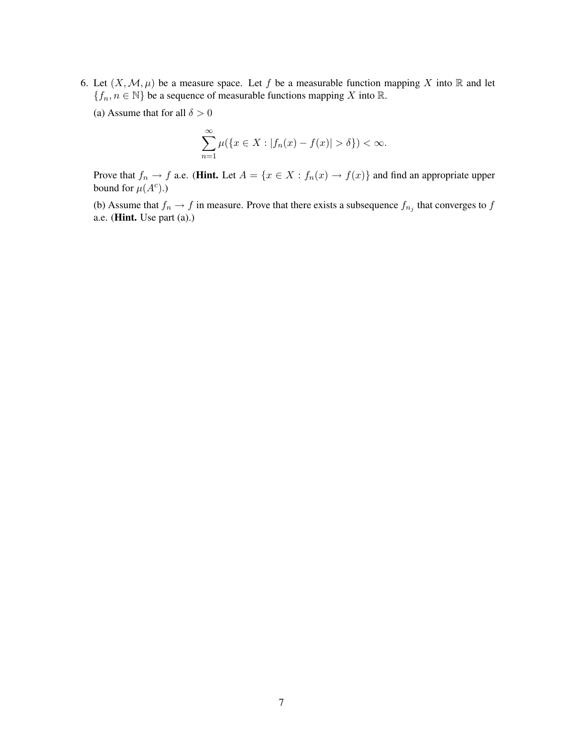- 6. Let  $(X, \mathcal{M}, \mu)$  be a measure space. Let f be a measurable function mapping X into R and let  ${f_n, n \in \mathbb{N}}$  be a sequence of measurable functions mapping X into  $\mathbb{R}$ .
	- (a) Assume that for all  $\delta > 0$

$$
\sum_{n=1}^{\infty} \mu(\{x \in X : |f_n(x) - f(x)| > \delta\}) < \infty.
$$

Prove that  $f_n \to f$  a.e. (Hint. Let  $A = \{x \in X : f_n(x) \to f(x)\}\$  and find an appropriate upper bound for  $\mu(A^c)$ .)

(b) Assume that  $f_n \to f$  in measure. Prove that there exists a subsequence  $f_{n_j}$  that converges to f a.e. (Hint. Use part (a).)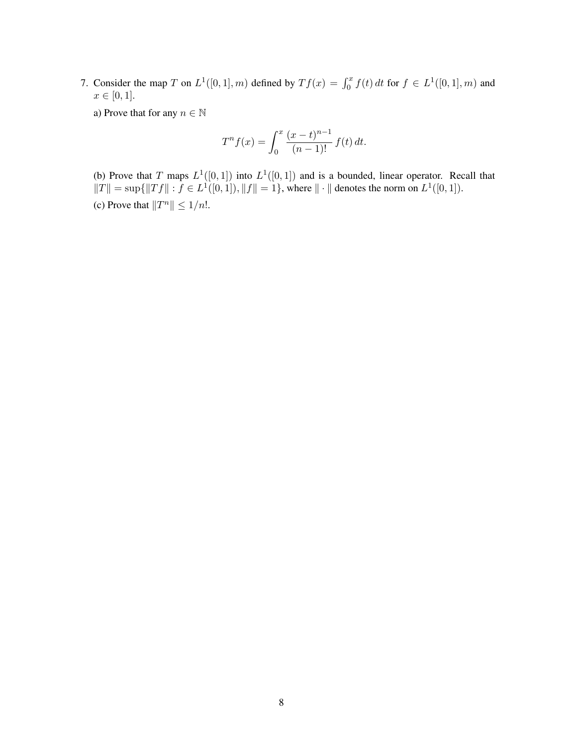7. Consider the map T on  $L^1([0,1], m)$  defined by  $Tf(x) = \int_0^x f(t) dt$  for  $f \in L^1([0,1], m)$  and  $x \in [0, 1]$ .

a) Prove that for any  $n \in \mathbb{N}$ 

$$
T^n f(x) = \int_0^x \frac{(x-t)^{n-1}}{(n-1)!} f(t) dt.
$$

(b) Prove that T maps  $L^1([0,1])$  into  $L^1([0,1])$  and is a bounded, linear operator. Recall that  $||T|| = \sup{||Tf|| : f \in L^1([0,1]), ||f|| = 1}$ , where  $|| \cdot ||$  denotes the norm on  $L^1([0,1]).$ (c) Prove that  $||T^n|| \leq 1/n!$ .